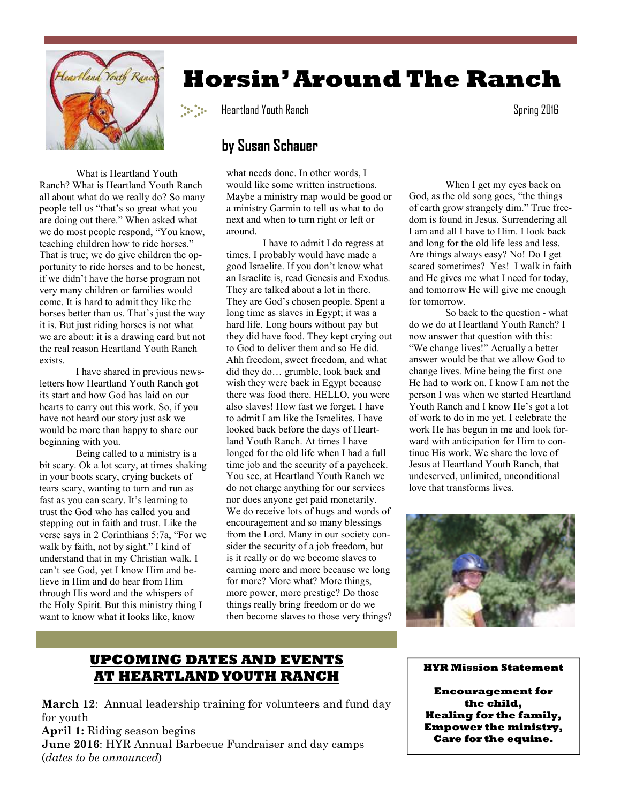

**Horsin' Around The Ranch** 

Heartland Youth Ranch Spring 2016

## **by Susan Schauer**

What is Heartland Youth Ranch? What is Heartland Youth Ranch all about what do we really do? So many people tell us "that's so great what you are doing out there." When asked what we do most people respond, "You know, teaching children how to ride horses." That is true; we do give children the opportunity to ride horses and to be honest, if we didn't have the horse program not very many children or families would around.

come. It is hard to admit they like the horses better than us. That's just the way it is. But just riding horses is not what we are about: it is a drawing card but not the real reason Heartland Youth Ranch exists.

I have shared in previous newsletters how Heartland Youth Ranch got its start and how God has laid on our hearts to carry out this work. So, if you have not heard our story just ask we would be more than happy to share our beginning with you.

Being called to a ministry is a bit scary. Ok a lot scary, at times shaking in your boots scary, crying buckets of tears scary, wanting to turn and run as fast as you can scary. It's learning to trust the God who has called you and stepping out in faith and trust. Like the verse says in 2 Corinthians 5:7a, "For we walk by faith, not by sight." I kind of understand that in my Christian walk. I can't see God, yet I know Him and believe in Him and do hear from Him through His word and the whispers of the Holy Spirit. But this ministry thing I want to know what it looks like, know

what needs done. In other words, I would like some written instructions. Maybe a ministry map would be good or a ministry Garmin to tell us what to do next and when to turn right or left or

 I have to admit I do regress at times. I probably would have made a good Israelite. If you don't know what an Israelite is, read Genesis and Exodus. They are talked about a lot in there. They are God's chosen people. Spent a long time as slaves in Egypt; it was a hard life. Long hours without pay but they did have food. They kept crying out to God to deliver them and so He did. Ahh freedom, sweet freedom, and what did they do… grumble, look back and wish they were back in Egypt because there was food there. HELLO, you were also slaves! How fast we forget. I have to admit I am like the Israelites. I have looked back before the days of Heartland Youth Ranch. At times I have longed for the old life when I had a full time job and the security of a paycheck. You see, at Heartland Youth Ranch we do not charge anything for our services nor does anyone get paid monetarily. We do receive lots of hugs and words of encouragement and so many blessings from the Lord. Many in our society consider the security of a job freedom, but is it really or do we become slaves to earning more and more because we long for more? More what? More things, more power, more prestige? Do those things really bring freedom or do we then become slaves to those very things?

 When I get my eyes back on God, as the old song goes, "the things of earth grow strangely dim." True freedom is found in Jesus. Surrendering all I am and all I have to Him. I look back and long for the old life less and less. Are things always easy? No! Do I get scared sometimes? Yes! I walk in faith and He gives me what I need for today, and tomorrow He will give me enough for tomorrow.

 So back to the question - what do we do at Heartland Youth Ranch? I now answer that question with this: "We change lives!" Actually a better answer would be that we allow God to change lives. Mine being the first one He had to work on. I know I am not the person I was when we started Heartland Youth Ranch and I know He's got a lot of work to do in me yet. I celebrate the work He has begun in me and look forward with anticipation for Him to continue His work. We share the love of Jesus at Heartland Youth Ranch, that undeserved, unlimited, unconditional love that transforms lives.



## **UPCOMING DATES AND EVENTS AT HEARTLAND YOUTH RANCH**

**March 12**: Annual leadership training for volunteers and fund day for youth **April 1:** Riding season begins **June 2016**: HYR Annual Barbecue Fundraiser and day camps (*dates to be announced*)

## **HYR Mission Statement**

**Encouragement for the child, Healing for the family, Empower the ministry, Care for the equine.**